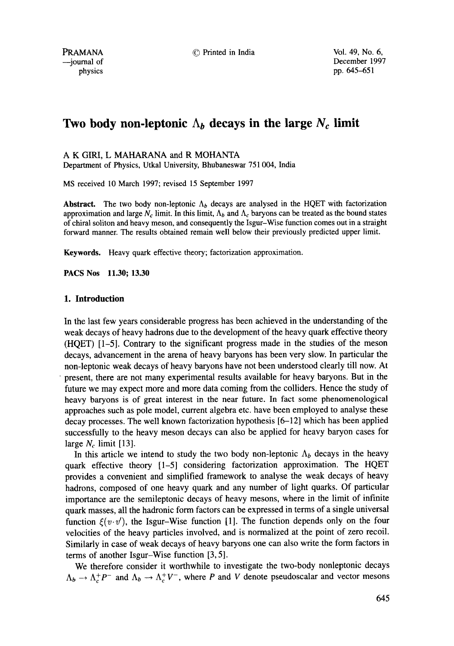PRAMANA © Printed in India Vol. 49, No. 6,

# Two body non-leptonic  $\Lambda_b$  decays in the large  $N_c$  limit

# A K GIRI, L MAHARANA and R MOHANTA

Department of Physics, Utkal University, Bhubaneswar 751 004, India

MS received 10 March 1997; revised 15 September 1997

**Abstract.** The two body non-leptonic  $\Lambda_b$  decays are analysed in the HQET with factorization approximation and large  $N_c$  limit. In this limit,  $\Lambda_b$  and  $\Lambda_c$  baryons can be treated as the bound states of chiral soliton and heavy meson, and consequently the Isgur-Wise function comes out in a straight forward manner. The results obtained remain well below their previously predicted upper limit.

Keywords. Heavy quark effective theory; factorization approximation.

**PACS Nos 11.30; 13.30** 

# **1. Introduction**

In the last few years considerable progress has been achieved in the understanding of the weak decays of heavy hadrons due to the development of the heavy quark effective theory (HQET) [1-5]. Contrary to the significant progress made in the studies of the meson decays, advancement in the arena of heavy baryons has been very slow. In particular the non-leptonic weak decays of heavy baryons have not been understood clearly till now. At present, there are not many experimental results available for heavy baryons. But in the future we may expect more and more data coming from the colliders. Hence the study of heavy baryons is of great interest in the near future. In fact some phenomenological approaches such as pole model, current algebra etc. have been employed to analyse these decay processes. The well known factorization hypothesis [6-12] which has been applied successfully to the heavy meson decays can also be applied for heavy baryon cases for large  $N_c$  limit [13].

In this article we intend to study the two body non-leptonic  $\Lambda_b$  decays in the heavy quark effective theory [1-5] considering factorization approximation. The HQET provides a convenient and simplified framework to analyse the weak decays of heavy hadrons, composed of one heavy quark and any number of light quarks. Of particular importance are the semileptonic decays of heavy mesons, where in the limit of infinite quark masses, all the hadronic form factors can be expressed in terms of a single universal function  $\xi(v \cdot v')$ , the Isgur-Wise function [1]. The function depends only on the four velocities of the heavy particles involved, and is normalized at the point of zero recoil. Similarly in case of weak decays of heavy baryons one can also write the form factors in terms of another Isgur-Wise function [3, 5].

We therefore consider it worthwhile to investigate the two-body nonleptonic decays  $\Lambda_b \to \Lambda_c^+ P^-$  and  $\Lambda_b \to \Lambda_c^+ V^-$ , where P and V denote pseudoscalar and vector mesons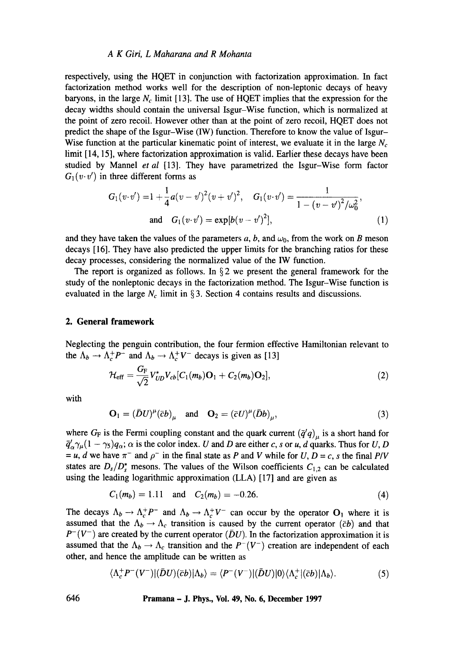#### *A K Giri, L Maharana and R Mohanta*

respectively, using the HQET in conjunction with factorization approximation. In fact factorization method works well for the description of non-leptonic decays of heavy baryons, in the large  $N_c$  limit [13]. The use of HQET implies that the expression for the decay widths should contain the universal Isgur-Wise function, which is normalized at the point of zero recoil. However other than at the point of zero recoil, HQET does not predict the shape of the Isgur-Wise (1W) function. Therefore to know the value of Isgur-Wise function at the particular kinematic point of interest, we evaluate it in the large  $N_c$ limit [14, 15], where factorization approximation is valid. Earlier these decays have been studied by Mannel *et al* [13]. They have parametrized the Isgur-Wise form factor  $G_1(v \cdot v')$  in three different forms as

$$
G_1(v \cdot v') = 1 + \frac{1}{4}a(v - v')^2(v + v')^2, \quad G_1(v \cdot v') = \frac{1}{1 - (v - v')^2/\omega_0^2},
$$
  
and 
$$
G_1(v \cdot v') = \exp[b(v - v')^2], \quad (1)
$$

and they have taken the values of the parameters a, b, and  $\omega_0$ , from the work on B meson decays [16]. They have also predicted the upper limits for the branching ratios for these decay processes, considering the normalized value of the IW function.

The report is organized as follows. In  $\S$  2 we present the general framework for the study of the nonleptonic decays in the factorization method. The Isgur-Wise function is evaluated in the large  $N_c$  limit in § 3. Section 4 contains results and discussions.

# **2. General framework**

Neglecting the penguin contribution, the four fermion effective Hamiltonian relevant to the  $\Lambda_b \to \Lambda_c^+ P^-$  and  $\Lambda_b \to \Lambda_c^+ V^-$  decays is given as [13]

$$
\mathcal{H}_{\text{eff}} = \frac{G_{\text{F}}}{\sqrt{2}} V_{UD}^* V_{cb} [C_1(m_b) \mathbf{O}_1 + C_2(m_b) \mathbf{O}_2], \tag{2}
$$

with

$$
\mathbf{O}_1 = (\bar{D}U)^{\mu}(\bar{c}b)_{\mu} \quad \text{and} \quad \mathbf{O}_2 = (\bar{c}U)^{\mu}(\bar{D}b)_{\mu}, \tag{3}
$$

where  $G_F$  is the Fermi coupling constant and the quark current  $(\bar{q}'q)_u$  is a short hand for  $\bar{q}'_{\alpha}\gamma_{\mu}(1 - \gamma_5)q_{\alpha}$ ;  $\alpha$  is the color index. U and D are either c, s or u, d quarks. Thus for U, D  $=$  u, d we have  $\pi^-$  and  $\rho^-$  in the final state as P and V while for U, D = c, s the final P/V states are  $D_s/D_s^*$  mesons. The values of the Wilson coefficients  $C_{1,2}$  can be calculated using the leading logarithmic approximation (LLA) [17] and are given as

$$
C_1(m_b) = 1.11 \quad \text{and} \quad C_2(m_b) = -0.26. \tag{4}
$$

The decays  $\Lambda_b \to \Lambda_c^+ P^-$  and  $\Lambda_b \to \Lambda_c^+ V^-$  can occur by the operator  $O_1$  where it is assumed that the  $\Lambda_b \to \Lambda_c$  transition is caused by the current operator ( $\bar{c}b$ ) and that  $P^-(V^-)$  are created by the current operator ( $\bar{D}U$ ). In the factorization approximation it is assumed that the  $\Lambda_b \to \Lambda_c$  transition and the  $P^-(V^-)$  creation are independent of each other, and hence the amplitude can be written as

$$
\langle \Lambda_c^+ P^- (V^-) | (\bar{D}U)(\bar{c}b) | \Lambda_b \rangle = \langle P^- (V^-) | (\bar{D}U) | 0 \rangle \langle \Lambda_c^+ | (\bar{c}b) | \Lambda_b \rangle. \tag{5}
$$

**646 Pramana - J. Phys., Vol. 49, No. 6, December 1997**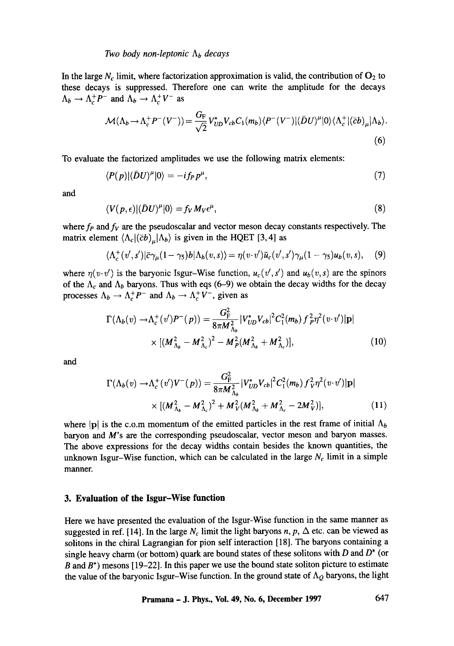#### *Two body non-leptonic*  $\Lambda_b$  *decays*

In the large  $N_c$  limit, where factorization approximation is valid, the contribution of  $O_2$  to these decays is suppressed. Therefore one can write the amplitude for the decays  $\Lambda_b \to \Lambda_c^+ P^-$  and  $\Lambda_b \to \Lambda_c^+ V^-$  as

$$
\mathcal{M}(\Lambda_b \to \Lambda_c^+ P^-(V^-)) = \frac{G_F}{\sqrt{2}} V_{UD}^* V_{cb} C_1(m_b) \langle P^-(V^-) | (\bar{D}U)^\mu | 0 \rangle \langle \Lambda_c^+ | (\bar{c}b)_\mu | \Lambda_b \rangle.
$$
\n
$$
(6)
$$

To evaluate the factorized amplitudes we use the following matrix elements:

$$
\langle P(p)|(\bar{D}U)^{\mu}|0\rangle = -if_{P}p^{\mu},\qquad(7)
$$

and

$$
\langle V(p,\epsilon)|(\bar{D}U)^{\mu}|0\rangle = f_V M_V \epsilon^{\mu},\qquad(8)
$$

where  $f_P$  and  $f_V$  are the pseudoscalar and vector meson decay constants respectively. The matrix element  $\langle \Lambda_c | (\bar{c}b)_u | \Lambda_b \rangle$  is given in the HQET [3, 4] as

$$
\langle \Lambda_c^+(v',s')|\bar{c}\gamma_\mu(1-\gamma_5)b|\Lambda_b(v,s)\rangle = \eta(v\cdot v')\bar{u}_c(v',s')\gamma_\mu(1-\gamma_5)u_b(v,s),\quad (9)
$$

where  $\eta(v \cdot v')$  is the baryonic Isgur-Wise function,  $u_c(v', s')$  and  $u_b(v, s)$  are the spinors of the  $\Lambda_c$  and  $\Lambda_b$  baryons. Thus with eqs (6-9) we obtain the decay widths for the decay processes  $\Lambda_b \to \Lambda_c^+ P^-$  and  $\Lambda_b \to \Lambda_c^+ V^-$ , given as

$$
\Gamma(\Lambda_b(v) \to \Lambda_c^+(v')P^-(p)) = \frac{G_{\rm F}^2}{8\pi M_{\Lambda_b}^2} |V_{UD}^* V_{cb}|^2 C_1^2(m_b) f_p^2 \eta^2(v \cdot v')|{\bf p}|
$$
  
 
$$
\times [(M_{\Lambda_b}^2 - M_{\Lambda_c}^2)^2 - M_p^2 (M_{\Lambda_b}^2 + M_{\Lambda_c}^2)], \qquad (10)
$$

and

$$
\Gamma(\Lambda_b(v) \to \Lambda_c^+(v')V^-(p)) = \frac{G_{\rm F}^2}{8\pi M_{\Lambda_b}^2} |V_{UD}^* V_{cb}|^2 C_1^2(m_b) f_V^2 \eta^2(v \cdot v')|{\bf p}|
$$
  
 
$$
\times [(M_{\Lambda_b}^2 - M_{\Lambda_c}^2)^2 + M_V^2 (M_{\Lambda_b}^2 + M_{\Lambda_c}^2 - 2M_V^2)], \tag{11}
$$

where |p| is the c.o.m momentum of the emitted particles in the rest frame of initial  $\Lambda_b$ baryon and M's are the corresponding pseudoscalar, vector meson and baryon masses. The above expressions for the decay widths contain besides the known quantities, the unknown Isgur-Wise function, which can be calculated in the large  $N_c$  limit in a simple manner.

#### **3. Evaluation of the Isgur-Wise function**

Here we have presented the evaluation of the Isgur-Wise function in the same manner as suggested in ref. [14]. In the large  $N_c$  limit the light baryons n, p,  $\Delta$  etc. can be viewed as solitons in the chiral Lagrangian for pion self interaction [18]. The baryons containing a single heavy charm (or bottom) quark are bound states of these solitons with  $D$  and  $D^*$  (or B and  $B^*$ ) mesons [19-22]. In this paper we use the bound state soliton picture to estimate the value of the baryonic Isgur-Wise function. In the ground state of  $\Lambda_Q$  baryons, the light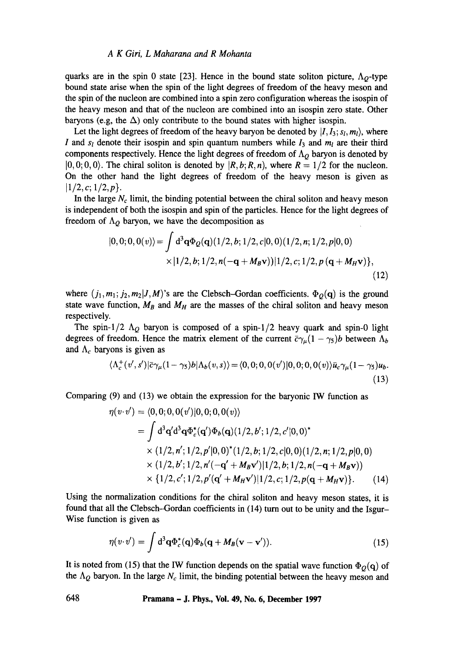# *A K Giri, L Maharana and R Mohanta*

quarks are in the spin 0 state [23]. Hence in the bound state soliton picture,  $\Lambda_{Q}$ -type bound state arise when the spin of the light degrees of freedom of the heavy meson and the spin of the nucleon are combined into a spin zero configuration whereas the isospin of the heavy meson and that of the nucleon are combined into an isospin zero state. Other baryons (e.g, the  $\Delta$ ) only contribute to the bound states with higher isospin.

Let the light degrees of freedom of the heavy baryon be denoted by  $|I_1I_3; s_l, m_l\rangle$ , where I and  $s_l$  denote their isospin and spin quantum numbers while  $I_3$  and  $m_l$  are their third components respectively. Hence the light degrees of freedom of  $\Lambda_Q$  baryon is denoted by  $[0, 0; 0, 0)$ . The chiral soliton is denoted by  $[R, b; R, n)$ , where  $R = 1/2$  for the nucleon. On the other hand the light degrees of freedom of the heavy meson is given as  $|1/2, c; 1/2, p\rangle$ .

In the large  $N_c$  limit, the binding potential between the chiral soliton and heavy meson is independent of both the isospin and spin of the particles. Hence for the light degrees of freedom of  $\Lambda$ <sup>o</sup> baryon, we have the decomposition as

$$
|0,0;0,0(v)\rangle = \int d^3\mathbf{q} \Phi_Q(\mathbf{q}) (1/2,b;1/2,c|0,0) (1/2,n;1/2,p|0,0)
$$
  
 
$$
\times |1/2,b;1/2,n(-\mathbf{q}+M_B\mathbf{v}))|1/2,c;1/2,p(\mathbf{q}+M_H\mathbf{v})\},
$$
(12)

where  $(j_1, m_1; j_2, m_2 | J, M)$ 's are the Clebsch-Gordan coefficients.  $\Phi_Q(q)$  is the ground state wave function,  $M_B$  and  $M_H$  are the masses of the chiral soliton and heavy meson respectively.

The spin-1/2  $\Lambda_Q$  baryon is composed of a spin-1/2 heavy quark and spin-0 light degrees of freedom. Hence the matrix element of the current  $\bar{c}\gamma_\mu(1 - \gamma_5)b$  between  $\Lambda_b$ and  $\Lambda_c$  baryons is given as

$$
\langle \Lambda_c^+(v',s')|\bar{c}\gamma_\mu(1-\gamma_5)b|\Lambda_b(v,s)\rangle = \langle 0,0;0,0(v')|0,0;0,0(v)\rangle\bar{u}_c\gamma_\mu(1-\gamma_5)u_b.
$$
\n(13)

Comparing (9) and (13) we obtain the expression for the baryonic IW function as

$$
\eta(v \cdot v') = \langle 0, 0, 0, 0(v') | 0, 0, 0, 0(v) \rangle
$$
  
=  $\int d^3 q' d^3 q \Phi_c^*(q') \Phi_b(q) (1/2, b'; 1/2, c' | 0, 0)^*$   
 $\times (1/2, n'; 1/2, p' | 0, 0)^*(1/2, b; 1/2, c | 0, 0) (1/2, n; 1/2, p | 0, 0)$   
 $\times (1/2, b'; 1/2, n'(-q' + M_Bv') | 1/2, b; 1/2, n(-q + M_Bv))$   
 $\times \{1/2, c'; 1/2, p'(q' + M_Hv') | 1/2, c; 1/2, p(q + M_Hv) \}.$  (14)

Using the normalization conditions for the chiral soliton and heavy meson states, it is found that all the Clebsch-Gordan coefficients in (14) turn out to be unity and the Isgur-Wise function is given as

$$
\eta(v \cdot v') = \int d^3 \mathbf{q} \Phi_c^*(\mathbf{q}) \Phi_b(\mathbf{q} + M_B(\mathbf{v} - \mathbf{v}')). \qquad (15)
$$

It is noted from (15) that the IW function depends on the spatial wave function  $\Phi_O(q)$  of the  $\Lambda_Q$  baryon. In the large  $N_c$  limit, the binding potential between the heavy meson and

**648 Pramana - J. Phys., Vol. 49, No. 6, December 1997**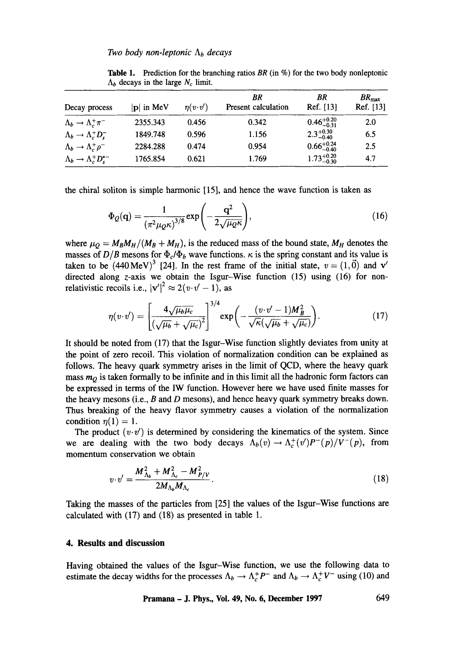| Decay process                        | $ {\bf p} $ in MeV | $\eta(v \cdot v')$ | BR<br>Present calculation | ΒR<br>Ref. [13]        | BR <sub>max</sub><br>Ref. [13] |
|--------------------------------------|--------------------|--------------------|---------------------------|------------------------|--------------------------------|
| $\Lambda_b \to \Lambda_c^+ \pi^-$    | 2355.343           | 0.456              | 0.342                     | $0.46^{+0.20}_{-0.31}$ | 2.0                            |
| $\Lambda_b \to \Lambda_c^+ D_s^-$    | 1849.748           | 0.596              | 1.156                     | $2.3^{+0.30}_{-0.40}$  | 6.5                            |
| $\Lambda_b \to \Lambda_c^+ \rho^-$   | 2284.288           | 0.474              | 0.954                     | $0.66^{+0.24}_{-0.40}$ | 2.5                            |
| $\Lambda_b \to \Lambda_c^+ D_s^{*-}$ | 1765.854           | 0.621              | 1.769                     | $1.73_{-0.30}^{+0.20}$ | 4.7                            |

**Table** 1. Prediction for the branching ratios *BR* (in %) for the two body nonleptonic  $\Lambda_b$  decays in the large  $N_c$  limit.

the chiral soliton is simple harmonic [15], and hence the wave function is taken as

$$
\Phi_Q(\mathbf{q}) = \frac{1}{\left(\pi^2 \mu_Q \kappa\right)^{3/8}} \exp\left(-\frac{\mathbf{q}^2}{2\sqrt{\mu_Q \kappa}}\right),\tag{16}
$$

where  $\mu_Q = M_B M_H/(M_B + M_H)$ , is the reduced mass of the bound state,  $M_H$  denotes the masses of  $D/B$  mesons for  $\Phi_c/\Phi_b$  wave functions.  $\kappa$  is the spring constant and its value is taken to be  $(440 \text{ MeV})^3$  [24]. In the rest frame of the initial state,  $v = (1, \vec{0})$  and v' directed along z-axis we obtain the Isgur-Wise function (15) using (16) for nonrelativistic recoils i.e.,  $|v'|^2 \approx 2(v \cdot v' - 1)$ , as

$$
\eta(v \cdot v') = \left[\frac{4\sqrt{\mu_b \mu_c}}{(\sqrt{\mu_b} + \sqrt{\mu_c})^2}\right]^{3/4} \exp\left(-\frac{(v \cdot v' - 1)M_B^2}{\sqrt{\kappa}(\sqrt{\mu_b} + \sqrt{\mu_c})}\right).
$$
(17)

It should be noted from (17) that the Isgur-Wise function slightly deviates from unity at the point of zero recoil. This violation of normalization condition can be explained as follows. The heavy quark symmetry arises in the limit of QCD, where the heavy quark mass  $m_Q$  is taken formally to be infinite and in this limit all the hadronic form factors can be expressed in terms of the IW function. However here we have used finite masses for the heavy mesons (i.e.,  $B$  and  $D$  mesons), and hence heavy quark symmetry breaks down. Thus breaking of the heavy flavor symmetry causes a violation of the normalization condition  $\eta(1) = 1$ .

The product  $(v \cdot v')$  is determined by considering the kinematics of the system. Since we are dealing with the two body decays  $\Lambda_b(v) \to \Lambda_c^+(v')P^-(p)/V^-(p)$ , from momentum conservation we obtain

$$
v \cdot v' = \frac{M_{\Lambda_b}^2 + M_{\Lambda_c}^2 - M_{P/V}^2}{2M_{\Lambda_b}M_{\Lambda_c}}.
$$
 (18)

Taking the masses of the particles from [25] the values of the Isgur-Wise functions are calculated with (17) and (18) as presented in table 1.

# **4. Results and discussion**

Having obtained the values of the Isgur-Wise function, we use the following data to estimate the decay widths for the processes  $\Lambda_b \to \Lambda_c^+ P^-$  and  $\Lambda_b \to \Lambda_c^+ V^-$  using (10) and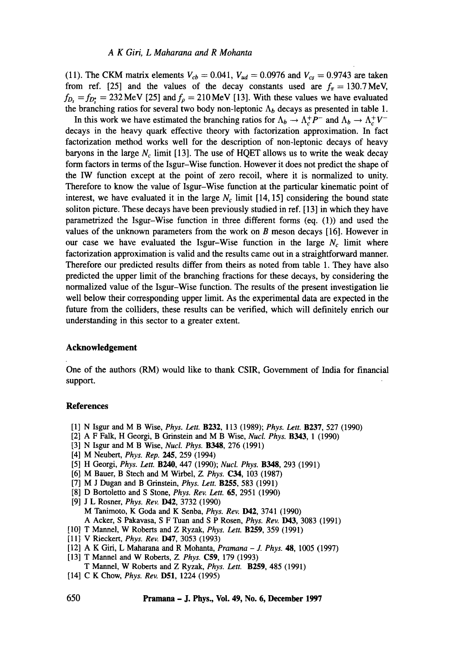(11). The CKM matrix elements  $V_{cb} = 0.041$ ,  $V_{ud} = 0.0976$  and  $V_{cs} = 0.9743$  are taken from ref. [25] and the values of the decay constants used are  $f_{\pi} = 130.7 \text{ MeV}$ ,  $f_{D_s} = f_{D_s} = 232 \text{ MeV}$  [25] and  $f_{\rho} = 210 \text{ MeV}$  [13]. With these values we have evaluated the branching ratios for several two body non-leptonic  $\Lambda_b$  decays as presented in table 1.

In this work we have estimated the branching ratios for  $\Lambda_b \to \Lambda_c^+ P^-$  and  $\Lambda_b \to \Lambda_c^+ V^$ decays in the heavy quark effective theory with factorization approximation. In fact factorization method works well for the description of non-leptonic decays of heavy baryons in the large  $N_c$  limit [13]. The use of HQET allows us to write the weak decay form factors in terms of the Isgur-Wise function. However it does not predict the shape of the IW function except at the point of zero recoil, where it is normalized to unity. Therefore to know the value of Isgur-Wise function at the particular kinematic point of interest, we have evaluated it in the large  $N_c$  limit [14, 15] considering the bound state soliton picture. These decays have been previously studied in ref. [13] in which they have parametrized the Isgur-Wise function in three different forms (eq. (1)) and used the values of the unknown parameters from the work on B meson decays [16]. However in our case we have evaluated the Isgur-Wise function in the large  $N_c$  limit where factorization approximation is valid and the results came out in a straightforward manner. Therefore our predicted results differ from theirs as noted from table 1. They have also predicted the upper limit of the branching fractions for these decays, by considering the normalized value of the Isgur-Wise function. The results of the present investigation lie well below their corresponding upper limit. As the experimental data are expected in the future from the colliders, these results can be verified, which will definitely enrich our understanding in this sector to a greater extent.

# **Acknowledgement**

One of the authors (RM) would like to thank CSIR, Government of India for financial support.

# **References**

- [1] N Isgur and M B Wise, *Phys. Lett.* B232, 113 (1989); *Phys. Lett.* B237, 527 (1990)
- [2] A F Falk, H Georgi, B Grinstein and M B Wise, *Nucl. Phys.* B343, 1 (1990)
- [3] N Isgur and M B Wise, *Nucl. Phys.* B348, 276 (1991)
- [4] M Neubert, *Phys. Rep.* 245, 259 (1994)
- [5] H Georgi, *Phys. Lett.* B240, 447 (1990); *Nucl. Phys.* B348, 293 (1991)
- [6] M Bauer, B Stech and M Wirbel, Z *Phys.* C34, 103 (1987)
- [7] M J Dugan and B Grinstein, *Phys. Lett.* B255, 583 (1991)
- [8] D Bortoletto and S Stone, *Phys. Rev. Lett.* 65, 2951 (1990)
- [9] J L Rosner, *Phys. Rev.* D42, 3732 (1990) M Tanimoto, K Goda and K Senba, *Phys. Rev.* D42, 3741 (1990) A Acker, S Pakavasa, S F Tuan and S P Rosen, *Phys. Rev.* **D43**, 3083 (1991)
- [10] T Mannel, W Roberts and Z Ryzak, *Phys. Lett.* B259, 359 (1991)
- [11] V Rieckert, *Phys. Rev.* **D47**, 3053 (1993)
- [12] A K Giri, L Maharana and R Mohanta, *Pramana J. Phys.* 48, 1005 (1997)
- [13] T Mannel and W Roberts, Z. *Phys.* C59, 179 (1993)
- T Mannel, W Roberts and Z Ryzak, *Phys. Lett.* B259, 485 (1991)
- [14] C K Chow, *Phys. Rev.* D51, 1224 (1995)